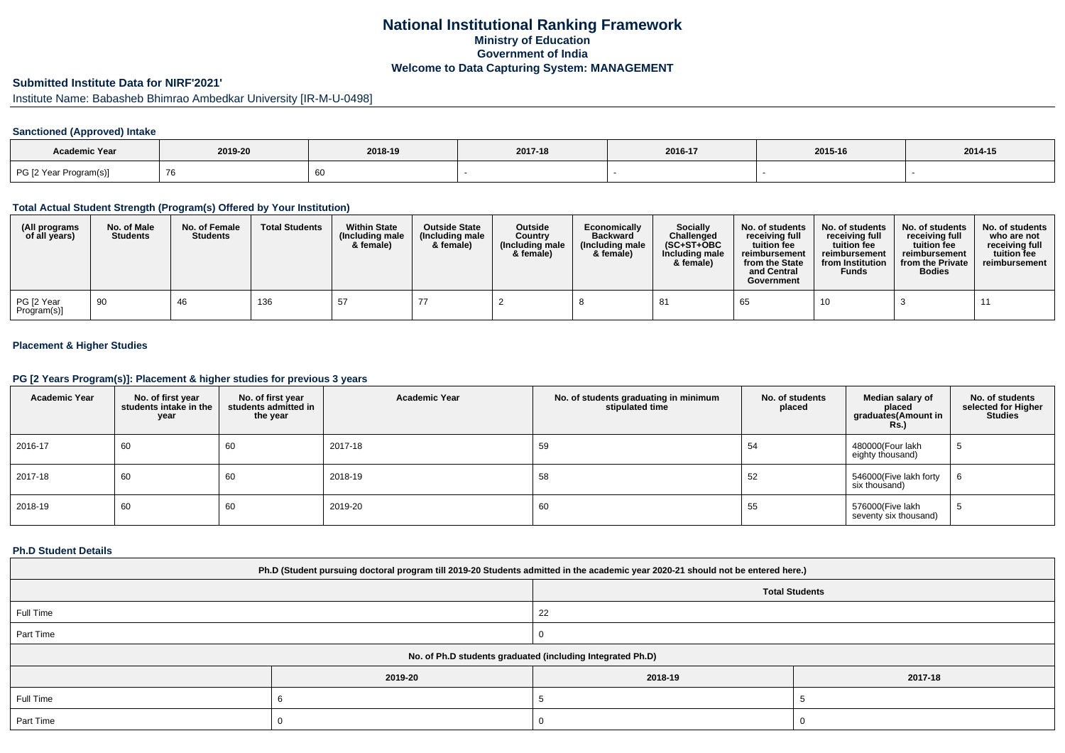# **National Institutional Ranking FrameworkMinistry of Education Government of IndiaWelcome to Data Capturing System: MANAGEMENT**

# **Submitted Institute Data for NIRF'2021'**

Institute Name: Babasheb Bhimrao Ambedkar University [IR-M-U-0498]

## **Sanctioned (Approved) Intake**

| Academic Year          | 2019-20 | 2018-19 | 2017-18 | 2016-17 | 2015-16 | 2014-15 |
|------------------------|---------|---------|---------|---------|---------|---------|
| PG [2 Year Program(s)] |         |         |         |         |         |         |

#### **Total Actual Student Strength (Program(s) Offered by Your Institution)**

| (All programs<br>of all years) | No. of Male<br><b>Students</b> | No. of Female<br><b>Students</b> | <b>Total Students</b> | <b>Within State</b><br>(Including male<br>& female) | <b>Outside State</b><br>(Including male)<br>& female) | <b>Outside</b><br>Country<br>(Including male<br>& female) | Economically<br><b>Backward</b><br>(Including male<br>& female) | <b>Socially</b><br>Challenged<br>$(SC+ST+OBC)$<br>Including male<br>& female) | No. of students<br>receivina full<br>tuition fee<br>reimbursement<br>from the State<br>and Central<br>Government | No. of students<br>receiving full<br>tuition fee<br>reimbursement<br>from Institution<br><b>Funds</b> | No. of students<br>receiving full<br>tuition fee<br>reimbursement<br>from the Private<br><b>Bodies</b> | No. of students<br>who are not<br>receiving full<br>tuition fee<br>reimbursement |
|--------------------------------|--------------------------------|----------------------------------|-----------------------|-----------------------------------------------------|-------------------------------------------------------|-----------------------------------------------------------|-----------------------------------------------------------------|-------------------------------------------------------------------------------|------------------------------------------------------------------------------------------------------------------|-------------------------------------------------------------------------------------------------------|--------------------------------------------------------------------------------------------------------|----------------------------------------------------------------------------------|
| PG [2 Year<br>Program(s)]      | 90                             | 46                               | 136                   | 57                                                  |                                                       |                                                           |                                                                 | 81                                                                            | 65                                                                                                               | 10                                                                                                    |                                                                                                        |                                                                                  |

## **Placement & Higher Studies**

### **PG [2 Years Program(s)]: Placement & higher studies for previous 3 years**

| <b>Academic Year</b> | No. of first year<br>students intake in the<br>year | No. of first year<br>students admitted in<br>the year | <b>Academic Year</b> | No. of students graduating in minimum<br>stipulated time | No. of students<br>placed | Median salary of<br>placed<br>graduates(Amount in<br><b>Rs.</b> ) | No. of students<br>selected for Higher<br><b>Studies</b> |
|----------------------|-----------------------------------------------------|-------------------------------------------------------|----------------------|----------------------------------------------------------|---------------------------|-------------------------------------------------------------------|----------------------------------------------------------|
| 2016-17              | 60                                                  | 60                                                    | 2017-18              | 59                                                       | 54                        | 480000(Four lakh<br>eighty thousand)                              | ر.                                                       |
| 2017-18              | 60                                                  | 60                                                    | 2018-19              | 58                                                       | 52                        | 546000(Five lakh forty<br>six thousand)                           |                                                          |
| 2018-19              | 60                                                  | 60                                                    | 2019-20              | 60                                                       | 55                        | 576000(Five lakh<br>seventy six thousand)                         |                                                          |

#### **Ph.D Student Details**

| Ph.D (Student pursuing doctoral program till 2019-20 Students admitted in the academic year 2020-21 should not be entered here.) |                                                            |         |         |  |  |  |  |  |
|----------------------------------------------------------------------------------------------------------------------------------|------------------------------------------------------------|---------|---------|--|--|--|--|--|
| <b>Total Students</b>                                                                                                            |                                                            |         |         |  |  |  |  |  |
| Full Time                                                                                                                        |                                                            | 22      |         |  |  |  |  |  |
| Part Time                                                                                                                        |                                                            |         |         |  |  |  |  |  |
|                                                                                                                                  | No. of Ph.D students graduated (including Integrated Ph.D) |         |         |  |  |  |  |  |
|                                                                                                                                  | 2019-20                                                    | 2018-19 | 2017-18 |  |  |  |  |  |
| Full Time                                                                                                                        |                                                            |         |         |  |  |  |  |  |
| Part Time                                                                                                                        |                                                            |         |         |  |  |  |  |  |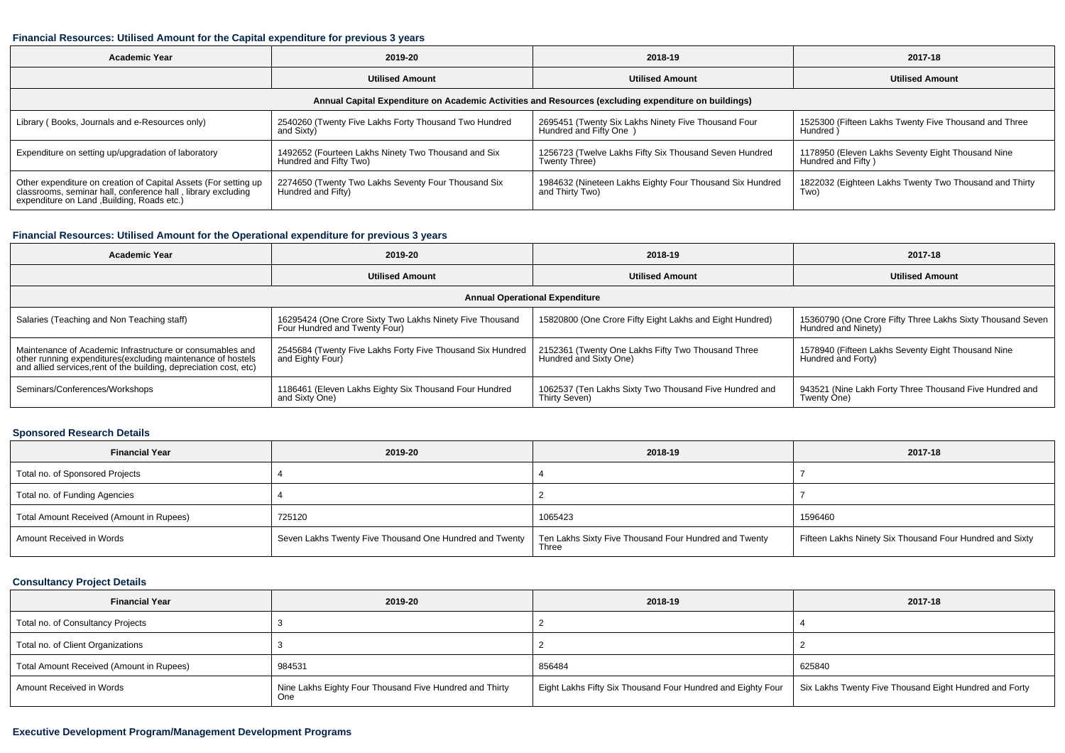### **Financial Resources: Utilised Amount for the Capital expenditure for previous 3 years**

| <b>Academic Year</b>                                                                                                                                                           | 2019-20                                                                       | 2018-19                                                                        | 2017-18                                                                 |  |  |  |  |  |
|--------------------------------------------------------------------------------------------------------------------------------------------------------------------------------|-------------------------------------------------------------------------------|--------------------------------------------------------------------------------|-------------------------------------------------------------------------|--|--|--|--|--|
|                                                                                                                                                                                | <b>Utilised Amount</b>                                                        | <b>Utilised Amount</b>                                                         | <b>Utilised Amount</b>                                                  |  |  |  |  |  |
| Annual Capital Expenditure on Academic Activities and Resources (excluding expenditure on buildings)                                                                           |                                                                               |                                                                                |                                                                         |  |  |  |  |  |
| Library (Books, Journals and e-Resources only)                                                                                                                                 | 2540260 (Twenty Five Lakhs Forty Thousand Two Hundred<br>and Sixty)           | 2695451 (Twenty Six Lakhs Ninety Five Thousand Four<br>Hundred and Fifty One ) | 1525300 (Fifteen Lakhs Twenty Five Thousand and Three<br>Hundred)       |  |  |  |  |  |
| Expenditure on setting up/upgradation of laboratory                                                                                                                            | 1492652 (Fourteen Lakhs Ninety Two Thousand and Six<br>Hundred and Fifty Two) | 1256723 (Twelve Lakhs Fifty Six Thousand Seven Hundred<br>Twenty Three)        | 1178950 (Eleven Lakhs Seventy Eight Thousand Nine<br>Hundred and Fifty) |  |  |  |  |  |
| Other expenditure on creation of Capital Assets (For setting up<br>classrooms, seminar hall, conference hall, library excluding<br>expenditure on Land , Building, Roads etc.) | 2274650 (Twenty Two Lakhs Seventy Four Thousand Six<br>Hundred and Fifty)     | 1984632 (Nineteen Lakhs Eighty Four Thousand Six Hundred<br>and Thirty Two)    | 1822032 (Eighteen Lakhs Twenty Two Thousand and Thirty<br>Two)          |  |  |  |  |  |

### **Financial Resources: Utilised Amount for the Operational expenditure for previous 3 years**

| <b>Academic Year</b>                                                                                                                                                                           | 2019-20                                                                                   | 2018-19                                                                      | 2017-18                                                                           |  |  |  |  |  |
|------------------------------------------------------------------------------------------------------------------------------------------------------------------------------------------------|-------------------------------------------------------------------------------------------|------------------------------------------------------------------------------|-----------------------------------------------------------------------------------|--|--|--|--|--|
| <b>Utilised Amount</b>                                                                                                                                                                         |                                                                                           | <b>Utilised Amount</b>                                                       | <b>Utilised Amount</b>                                                            |  |  |  |  |  |
| <b>Annual Operational Expenditure</b>                                                                                                                                                          |                                                                                           |                                                                              |                                                                                   |  |  |  |  |  |
| Salaries (Teaching and Non Teaching staff)                                                                                                                                                     | 16295424 (One Crore Sixty Two Lakhs Ninety Five Thousand<br>Four Hundred and Twenty Four) | 15820800 (One Crore Fifty Eight Lakhs and Eight Hundred)                     | 15360790 (One Crore Fifty Three Lakhs Sixty Thousand Seven<br>Hundred and Ninety) |  |  |  |  |  |
| Maintenance of Academic Infrastructure or consumables and<br>other running expenditures(excluding maintenance of hostels<br>and allied services, rent of the building, depreciation cost, etc) | 2545684 (Twenty Five Lakhs Forty Five Thousand Six Hundred<br>and Eighty Four)            | 2152361 (Twenty One Lakhs Fifty Two Thousand Three<br>Hundred and Sixty One) | 1578940 (Fifteen Lakhs Seventy Eight Thousand Nine<br>Hundred and Forty)          |  |  |  |  |  |
| Seminars/Conferences/Workshops                                                                                                                                                                 | 1186461 (Eleven Lakhs Eighty Six Thousand Four Hundred<br>and Sixty One)                  | 1062537 (Ten Lakhs Sixty Two Thousand Five Hundred and<br>Thirty Seven)      | 943521 (Nine Lakh Forty Three Thousand Five Hundred and<br>Twenty One)            |  |  |  |  |  |

### **Sponsored Research Details**

| <b>Financial Year</b>                    | 2019-20                                                 | 2018-19                                                        | 2017-18                                                  |
|------------------------------------------|---------------------------------------------------------|----------------------------------------------------------------|----------------------------------------------------------|
| Total no. of Sponsored Projects          |                                                         |                                                                |                                                          |
| Total no. of Funding Agencies            |                                                         |                                                                |                                                          |
| Total Amount Received (Amount in Rupees) | 725120                                                  | 1065423                                                        | 1596460                                                  |
| Amount Received in Words                 | Seven Lakhs Twenty Five Thousand One Hundred and Twenty | Ten Lakhs Sixty Five Thousand Four Hundred and Twenty<br>Three | Fifteen Lakhs Ninety Six Thousand Four Hundred and Sixty |

# **Consultancy Project Details**

| <b>Financial Year</b>                    | 2019-20                                                        | 2018-19                                                     | 2017-18                                                |
|------------------------------------------|----------------------------------------------------------------|-------------------------------------------------------------|--------------------------------------------------------|
| Total no. of Consultancy Projects        |                                                                |                                                             |                                                        |
| Total no. of Client Organizations        |                                                                |                                                             |                                                        |
| Total Amount Received (Amount in Rupees) | 984531                                                         | 856484                                                      | 625840                                                 |
| Amount Received in Words                 | Nine Lakhs Eighty Four Thousand Five Hundred and Thirty<br>One | Eight Lakhs Fifty Six Thousand Four Hundred and Eighty Four | Six Lakhs Twenty Five Thousand Eight Hundred and Forty |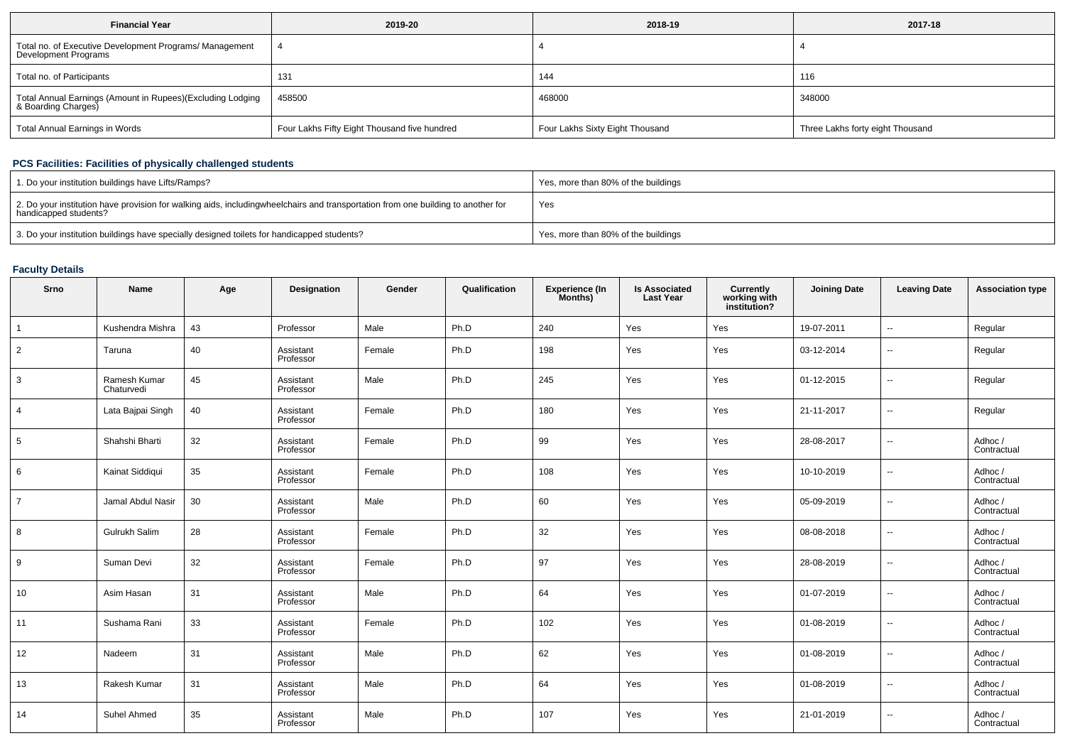| <b>Financial Year</b>                                                             | 2019-20                                      | 2018-19                         | 2017-18                          |
|-----------------------------------------------------------------------------------|----------------------------------------------|---------------------------------|----------------------------------|
| Total no. of Executive Development Programs/ Management<br>Development Programs   |                                              |                                 |                                  |
| Total no. of Participants                                                         | 131                                          | 144                             | 116                              |
| Total Annual Earnings (Amount in Rupees)(Excluding Lodging<br>& Boarding Charges) | 458500                                       | 468000                          | 348000                           |
| <b>Total Annual Earnings in Words</b>                                             | Four Lakhs Fifty Eight Thousand five hundred | Four Lakhs Sixty Eight Thousand | Three Lakhs forty eight Thousand |

## **PCS Facilities: Facilities of physically challenged students**

| 1. Do your institution buildings have Lifts/Ramps?                                                                                                        | Yes, more than 80% of the buildings |
|-----------------------------------------------------------------------------------------------------------------------------------------------------------|-------------------------------------|
| 2. Do your institution have provision for walking aids, includingwheelchairs and transportation from one building to another for<br>handicapped students? | Yes                                 |
| 3. Do your institution buildings have specially designed toilets for handicapped students?                                                                | Yes, more than 80% of the buildings |

# **Faculty Details**

| Srno           | Name                       | Age | Designation            | Gender | Qualification | Experience (In<br>Months) | <b>Is Associated</b><br><b>Last Year</b> | Currently<br>working with<br>institution? | <b>Joining Date</b> | <b>Leaving Date</b>      | <b>Association type</b> |
|----------------|----------------------------|-----|------------------------|--------|---------------|---------------------------|------------------------------------------|-------------------------------------------|---------------------|--------------------------|-------------------------|
| 1              | Kushendra Mishra           | 43  | Professor              | Male   | Ph.D          | 240                       | Yes                                      | Yes                                       | 19-07-2011          | $\overline{\phantom{a}}$ | Regular                 |
| $\overline{2}$ | Taruna                     | 40  | Assistant<br>Professor | Female | Ph.D          | 198                       | Yes                                      | Yes                                       | 03-12-2014          | $\overline{\phantom{a}}$ | Regular                 |
| 3              | Ramesh Kumar<br>Chaturvedi | 45  | Assistant<br>Professor | Male   | Ph.D          | 245                       | Yes                                      | Yes                                       | 01-12-2015          | --                       | Regular                 |
| $\overline{4}$ | Lata Bajpai Singh          | 40  | Assistant<br>Professor | Female | Ph.D          | 180                       | Yes                                      | Yes                                       | 21-11-2017          | $\overline{\phantom{a}}$ | Regular                 |
| 5              | Shahshi Bharti             | 32  | Assistant<br>Professor | Female | Ph.D          | 99                        | Yes                                      | Yes                                       | 28-08-2017          | $\overline{\phantom{a}}$ | Adhoc /<br>Contractual  |
| 6              | Kainat Siddiqui            | 35  | Assistant<br>Professor | Female | Ph.D          | 108                       | Yes                                      | Yes                                       | 10-10-2019          | $\overline{\phantom{a}}$ | Adhoc /<br>Contractual  |
| $\overline{7}$ | Jamal Abdul Nasir          | 30  | Assistant<br>Professor | Male   | Ph.D          | 60                        | Yes                                      | Yes                                       | 05-09-2019          | $\overline{\phantom{a}}$ | Adhoc /<br>Contractual  |
| 8              | Gulrukh Salim              | 28  | Assistant<br>Professor | Female | Ph.D          | 32                        | Yes                                      | Yes                                       | 08-08-2018          | $\overline{\phantom{a}}$ | Adhoc /<br>Contractual  |
| 9              | Suman Devi                 | 32  | Assistant<br>Professor | Female | Ph.D          | 97                        | Yes                                      | Yes                                       | 28-08-2019          | $\overline{\phantom{a}}$ | Adhoc /<br>Contractual  |
| 10             | Asim Hasan                 | 31  | Assistant<br>Professor | Male   | Ph.D          | 64                        | Yes                                      | Yes                                       | 01-07-2019          | ⊶.                       | Adhoc /<br>Contractual  |
| 11             | Sushama Rani               | 33  | Assistant<br>Professor | Female | Ph.D          | 102                       | Yes                                      | Yes                                       | 01-08-2019          | --                       | Adhoc /<br>Contractual  |
| 12             | Nadeem                     | 31  | Assistant<br>Professor | Male   | Ph.D          | 62                        | Yes                                      | Yes                                       | 01-08-2019          | $\overline{\phantom{a}}$ | Adhoc /<br>Contractual  |
| 13             | Rakesh Kumar               | 31  | Assistant<br>Professor | Male   | Ph.D          | 64                        | Yes                                      | Yes                                       | 01-08-2019          | ۰.                       | Adhoc /<br>Contractual  |
| 14             | Suhel Ahmed                | 35  | Assistant<br>Professor | Male   | Ph.D          | 107                       | Yes                                      | Yes                                       | 21-01-2019          | --                       | Adhoc/<br>Contractual   |